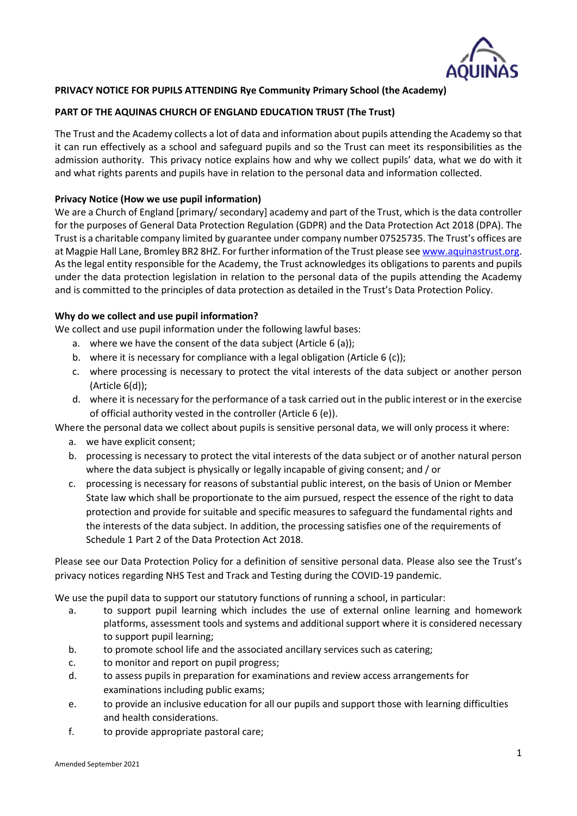

# **PRIVACY NOTICE FOR PUPILS ATTENDING Rye Community Primary School (the Academy)**

# **PART OF THE AQUINAS CHURCH OF ENGLAND EDUCATION TRUST (The Trust)**

The Trust and the Academy collects a lot of data and information about pupils attending the Academy so that it can run effectively as a school and safeguard pupils and so the Trust can meet its responsibilities as the admission authority. This privacy notice explains how and why we collect pupils' data, what we do with it and what rights parents and pupils have in relation to the personal data and information collected.

#### **Privacy Notice (How we use pupil information)**

We are a Church of England [primary/ secondary] academy and part of the Trust, which is the data controller for the purposes of General Data Protection Regulation (GDPR) and the Data Protection Act 2018 (DPA). The Trust is a charitable company limited by guarantee under company number 07525735. The Trust's offices are at Magpie Hall Lane, Bromley BR2 8HZ. For further information of the Trust please see [www.aquinastrust.org.](http://www.aquinastrust.org/) As the legal entity responsible for the Academy, the Trust acknowledges its obligations to parents and pupils under the data protection legislation in relation to the personal data of the pupils attending the Academy and is committed to the principles of data protection as detailed in the Trust's Data Protection Policy.

#### **Why do we collect and use pupil information?**

We collect and use pupil information under the following lawful bases:

- a. where we have the consent of the data subject (Article 6 (a));
- b. where it is necessary for compliance with a legal obligation (Article 6 (c));
- c. where processing is necessary to protect the vital interests of the data subject or another person (Article 6(d));
- d. where it is necessary for the performance of a task carried out in the public interest or in the exercise of official authority vested in the controller (Article 6 (e)).

Where the personal data we collect about pupils is sensitive personal data, we will only process it where:

- a. we have explicit consent;
- b. processing is necessary to protect the vital interests of the data subject or of another natural person where the data subject is physically or legally incapable of giving consent; and / or
- c. processing is necessary for reasons of substantial public interest, on the basis of Union or Member State law which shall be proportionate to the aim pursued, respect the essence of the right to data protection and provide for suitable and specific measures to safeguard the fundamental rights and the interests of the data subject. In addition, the processing satisfies one of the requirements of Schedule 1 Part 2 of the Data Protection Act 2018.

Please see our Data Protection Policy for a definition of sensitive personal data. Please also see the Trust's privacy notices regarding NHS Test and Track and Testing during the COVID-19 pandemic.

We use the pupil data to support our statutory functions of running a school, in particular:

- a. to support pupil learning which includes the use of external online learning and homework platforms, assessment tools and systems and additional support where it is considered necessary to support pupil learning;
- b. to promote school life and the associated ancillary services such as catering;
- c. to monitor and report on pupil progress;
- d. to assess pupils in preparation for examinations and review access arrangements for examinations including public exams;
- e. to provide an inclusive education for all our pupils and support those with learning difficulties and health considerations.
- f. to provide appropriate pastoral care;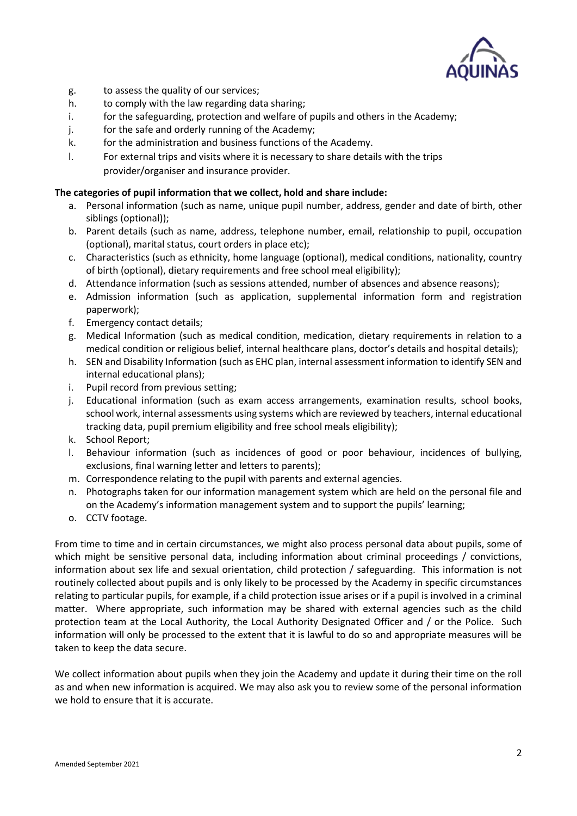

- g. to assess the quality of our services;
- h. to comply with the law regarding data sharing;
- i. for the safeguarding, protection and welfare of pupils and others in the Academy;
- j. for the safe and orderly running of the Academy;
- k. for the administration and business functions of the Academy.
- l. For external trips and visits where it is necessary to share details with the trips provider/organiser and insurance provider.

#### **The categories of pupil information that we collect, hold and share include:**

- a. Personal information (such as name, unique pupil number, address, gender and date of birth, other siblings (optional));
- b. Parent details (such as name, address, telephone number, email, relationship to pupil, occupation (optional), marital status, court orders in place etc);
- c. Characteristics (such as ethnicity, home language (optional), medical conditions, nationality, country of birth (optional), dietary requirements and free school meal eligibility);
- d. Attendance information (such as sessions attended, number of absences and absence reasons);
- e. Admission information (such as application, supplemental information form and registration paperwork);
- f. Emergency contact details;
- g. Medical Information (such as medical condition, medication, dietary requirements in relation to a medical condition or religious belief, internal healthcare plans, doctor's details and hospital details);
- h. SEN and Disability Information (such as EHC plan, internal assessment information to identify SEN and internal educational plans);
- i. Pupil record from previous setting;
- j. Educational information (such as exam access arrangements, examination results, school books, school work, internal assessments using systems which are reviewed by teachers, internal educational tracking data, pupil premium eligibility and free school meals eligibility);
- k. School Report;
- l. Behaviour information (such as incidences of good or poor behaviour, incidences of bullying, exclusions, final warning letter and letters to parents);
- m. Correspondence relating to the pupil with parents and external agencies.
- n. Photographs taken for our information management system which are held on the personal file and on the Academy's information management system and to support the pupils' learning;
- o. CCTV footage.

From time to time and in certain circumstances, we might also process personal data about pupils, some of which might be sensitive personal data, including information about criminal proceedings / convictions, information about sex life and sexual orientation, child protection / safeguarding. This information is not routinely collected about pupils and is only likely to be processed by the Academy in specific circumstances relating to particular pupils, for example, if a child protection issue arises or if a pupil is involved in a criminal matter. Where appropriate, such information may be shared with external agencies such as the child protection team at the Local Authority, the Local Authority Designated Officer and / or the Police. Such information will only be processed to the extent that it is lawful to do so and appropriate measures will be taken to keep the data secure.

We collect information about pupils when they join the Academy and update it during their time on the roll as and when new information is acquired. We may also ask you to review some of the personal information we hold to ensure that it is accurate.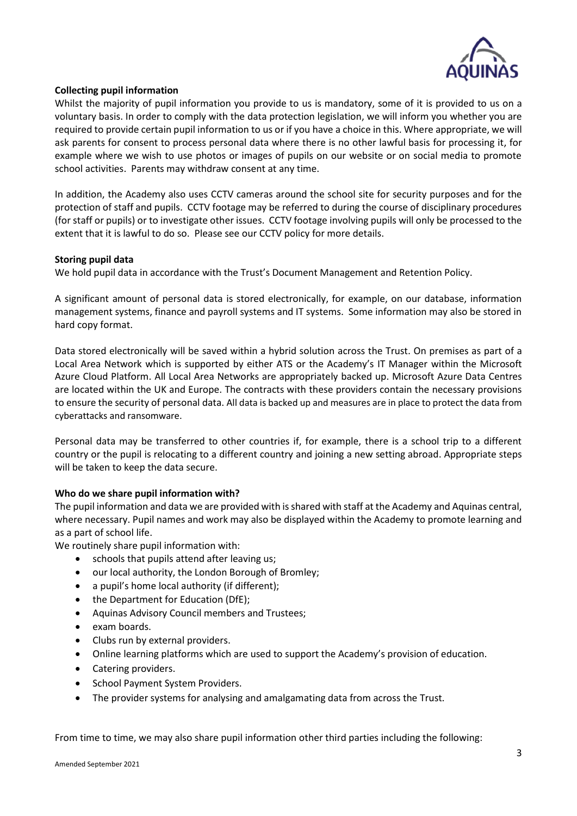

# **Collecting pupil information**

Whilst the majority of pupil information you provide to us is mandatory, some of it is provided to us on a voluntary basis. In order to comply with the data protection legislation, we will inform you whether you are required to provide certain pupil information to us or if you have a choice in this. Where appropriate, we will ask parents for consent to process personal data where there is no other lawful basis for processing it, for example where we wish to use photos or images of pupils on our website or on social media to promote school activities. Parents may withdraw consent at any time.

In addition, the Academy also uses CCTV cameras around the school site for security purposes and for the protection of staff and pupils. CCTV footage may be referred to during the course of disciplinary procedures (for staff or pupils) or to investigate other issues. CCTV footage involving pupils will only be processed to the extent that it is lawful to do so. Please see our CCTV policy for more details.

# **Storing pupil data**

We hold pupil data in accordance with the Trust's Document Management and Retention Policy.

A significant amount of personal data is stored electronically, for example, on our database, information management systems, finance and payroll systems and IT systems. Some information may also be stored in hard copy format.

Data stored electronically will be saved within a hybrid solution across the Trust. On premises as part of a Local Area Network which is supported by either ATS or the Academy's IT Manager within the Microsoft Azure Cloud Platform. All Local Area Networks are appropriately backed up. Microsoft Azure Data Centres are located within the UK and Europe. The contracts with these providers contain the necessary provisions to ensure the security of personal data. All data is backed up and measures are in place to protect the data from cyberattacks and ransomware.

Personal data may be transferred to other countries if, for example, there is a school trip to a different country or the pupil is relocating to a different country and joining a new setting abroad. Appropriate steps will be taken to keep the data secure.

# **Who do we share pupil information with?**

The pupil information and data we are provided with is shared with staff at the Academy and Aquinas central, where necessary. Pupil names and work may also be displayed within the Academy to promote learning and as a part of school life.

We routinely share pupil information with:

- schools that pupils attend after leaving us;
- our local authority, the London Borough of Bromley;
- a pupil's home local authority (if different);
- the Department for Education (DfE);
- Aquinas Advisory Council members and Trustees;
- exam boards.
- Clubs run by external providers.
- Online learning platforms which are used to support the Academy's provision of education.
- Catering providers.
- School Payment System Providers.
- The provider systems for analysing and amalgamating data from across the Trust.

From time to time, we may also share pupil information other third parties including the following: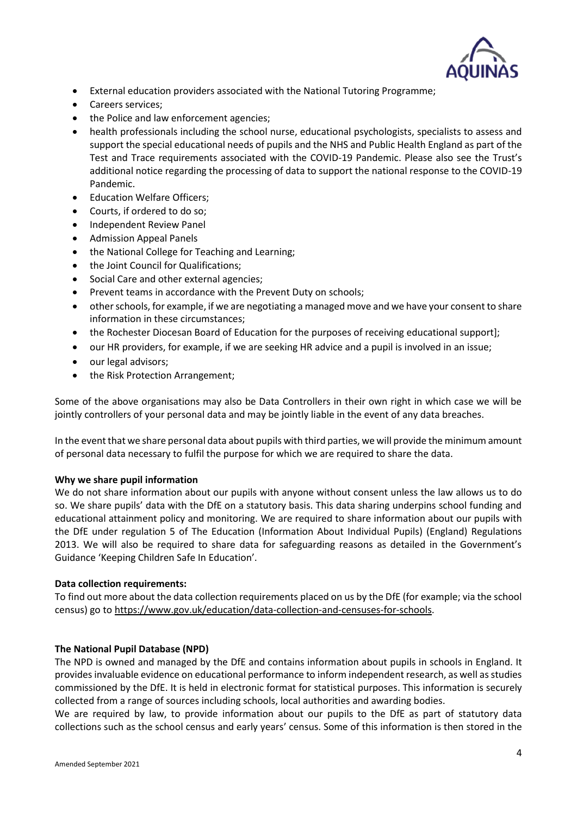

- External education providers associated with the National Tutoring Programme;
- Careers services;
- the Police and law enforcement agencies;
- health professionals including the school nurse, educational psychologists, specialists to assess and support the special educational needs of pupils and the NHS and Public Health England as part of the Test and Trace requirements associated with the COVID-19 Pandemic. Please also see the Trust's additional notice regarding the processing of data to support the national response to the COVID-19 Pandemic.
- Education Welfare Officers;
- Courts, if ordered to do so;
- Independent Review Panel
- Admission Appeal Panels
- the National College for Teaching and Learning;
- the Joint Council for Qualifications;
- Social Care and other external agencies;
- Prevent teams in accordance with the Prevent Duty on schools;
- other schools, for example, if we are negotiating a managed move and we have your consent to share information in these circumstances;
- the Rochester Diocesan Board of Education for the purposes of receiving educational support];
- our HR providers, for example, if we are seeking HR advice and a pupil is involved in an issue;
- our legal advisors;
- the Risk Protection Arrangement;

Some of the above organisations may also be Data Controllers in their own right in which case we will be jointly controllers of your personal data and may be jointly liable in the event of any data breaches.

In the event that we share personal data about pupils with third parties, we will provide the minimum amount of personal data necessary to fulfil the purpose for which we are required to share the data.

# **Why we share pupil information**

We do not share information about our pupils with anyone without consent unless the law allows us to do so. We share pupils' data with the DfE on a statutory basis. This data sharing underpins school funding and educational attainment policy and monitoring. We are required to share information about our pupils with the DfE under regulation 5 of The Education (Information About Individual Pupils) (England) Regulations 2013. We will also be required to share data for safeguarding reasons as detailed in the Government's Guidance 'Keeping Children Safe In Education'.

# **Data collection requirements:**

To find out more about the data collection requirements placed on us by the DfE (for example; via the school census) go to [https://www.gov.uk/education/data-collection-and-censuses-for-schools.](https://www.gov.uk/education/data-collection-and-censuses-for-schools)

#### **The National Pupil Database (NPD)**

The NPD is owned and managed by the DfE and contains information about pupils in schools in England. It provides invaluable evidence on educational performance to inform independent research, as well as studies commissioned by the DfE. It is held in electronic format for statistical purposes. This information is securely collected from a range of sources including schools, local authorities and awarding bodies.

We are required by law, to provide information about our pupils to the DfE as part of statutory data collections such as the school census and early years' census. Some of this information is then stored in the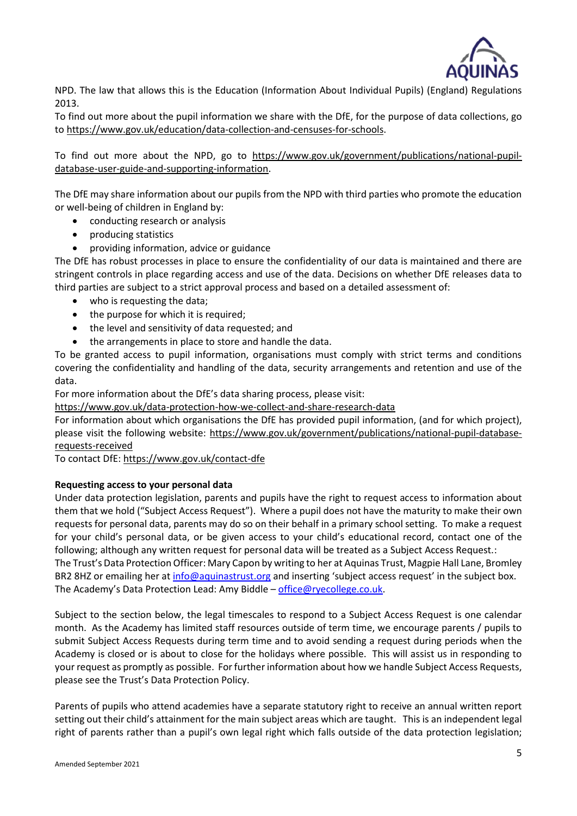

NPD. The law that allows this is the Education (Information About Individual Pupils) (England) Regulations 2013.

To find out more about the pupil information we share with the DfE, for the purpose of data collections, go to [https://www.gov.uk/education/data-collection-and-censuses-for-schools.](https://www.gov.uk/education/data-collection-and-censuses-for-schools)

To find out more about the NPD, go to [https://www.gov.uk/government/publications/national-pupil](https://www.gov.uk/government/publications/national-pupil-database-user-guide-and-supporting-information)[database-user-guide-and-supporting-information.](https://www.gov.uk/government/publications/national-pupil-database-user-guide-and-supporting-information)

The DfE may share information about our pupils from the NPD with third parties who promote the education or well-being of children in England by:

- conducting research or analysis
- producing statistics
- providing information, advice or guidance

The DfE has robust processes in place to ensure the confidentiality of our data is maintained and there are stringent controls in place regarding access and use of the data. Decisions on whether DfE releases data to third parties are subject to a strict approval process and based on a detailed assessment of:

- who is requesting the data;
- the purpose for which it is required;
- the level and sensitivity of data requested; and
- the arrangements in place to store and handle the data.

To be granted access to pupil information, organisations must comply with strict terms and conditions covering the confidentiality and handling of the data, security arrangements and retention and use of the data.

For more information about the DfE's data sharing process, please visit:

<https://www.gov.uk/data-protection-how-we-collect-and-share-research-data>

For information about which organisations the DfE has provided pupil information, (and for which project), please visit the following website: [https://www.gov.uk/government/publications/national-pupil-database](https://www.gov.uk/government/publications/national-pupil-database-requests-received)[requests-received](https://www.gov.uk/government/publications/national-pupil-database-requests-received)

To contact DfE:<https://www.gov.uk/contact-dfe>

# **Requesting access to your personal data**

Under data protection legislation, parents and pupils have the right to request access to information about them that we hold ("Subject Access Request"). Where a pupil does not have the maturity to make their own requests for personal data, parents may do so on their behalf in a primary school setting. To make a request for your child's personal data, or be given access to your child's educational record, contact one of the following; although any written request for personal data will be treated as a Subject Access Request.: The Trust's Data Protection Officer: Mary Capon by writing to her at Aquinas Trust, Magpie Hall Lane, Bromley BR2 8HZ or emailing her at [info@aquinastrust.org](mailto:info@aquinastrust.org) and inserting 'subject access request' in the subject box.

The Academy's Data Protection Lead: Amy Biddle – [office@ryecollege.co.uk.](mailto:office@ryecollege.co.uk)

Subject to the section below, the legal timescales to respond to a Subject Access Request is one calendar month. As the Academy has limited staff resources outside of term time, we encourage parents / pupils to submit Subject Access Requests during term time and to avoid sending a request during periods when the Academy is closed or is about to close for the holidays where possible. This will assist us in responding to your request as promptly as possible. For further information about how we handle Subject Access Requests, please see the Trust's Data Protection Policy.

Parents of pupils who attend academies have a separate statutory right to receive an annual written report setting out their child's attainment for the main subject areas which are taught. This is an independent legal right of parents rather than a pupil's own legal right which falls outside of the data protection legislation;